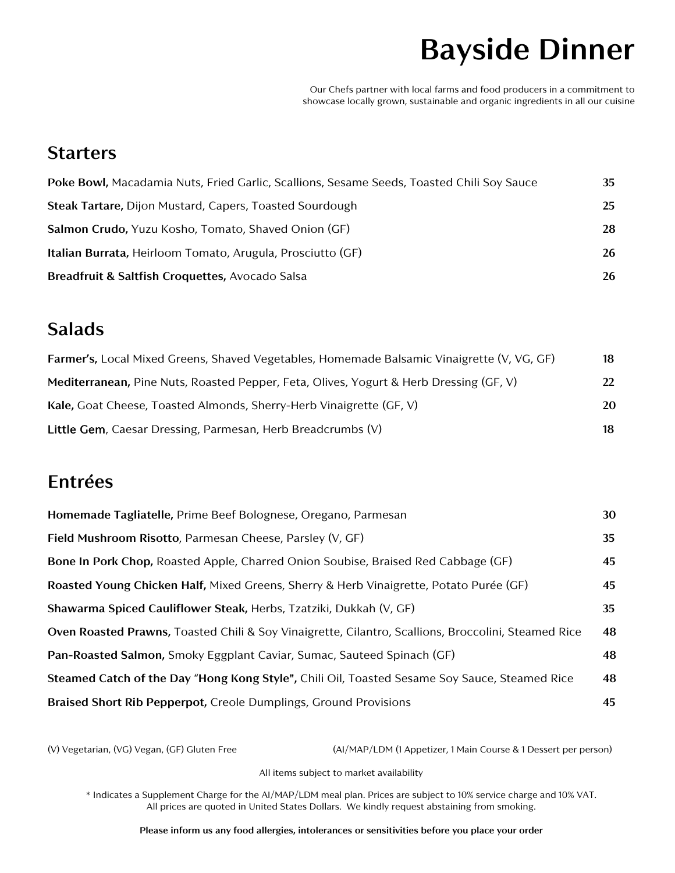# **Bayside Dinner**

Our Chefs partner with local farms and food producers in a commitment to showcase locally grown, sustainable and organic ingredients in all our cuisine

#### **Starters**

| Poke Bowl, Macadamia Nuts, Fried Garlic, Scallions, Sesame Seeds, Toasted Chili Soy Sauce | 35 |
|-------------------------------------------------------------------------------------------|----|
| Steak Tartare, Dijon Mustard, Capers, Toasted Sourdough                                   | 25 |
| Salmon Crudo, Yuzu Kosho, Tomato, Shaved Onion (GF)                                       | 28 |
| <b>Italian Burrata, Heirloom Tomato, Arugula, Prosciutto (GF)</b>                         | 26 |
| Breadfruit & Saltfish Croquettes, Avocado Salsa                                           | 26 |

#### **Salads**

| Farmer's, Local Mixed Greens, Shaved Vegetables, Homemade Balsamic Vinaigrette (V, VG, GF) | 18  |
|--------------------------------------------------------------------------------------------|-----|
| Mediterranean, Pine Nuts, Roasted Pepper, Feta, Olives, Yogurt & Herb Dressing (GF, V)     | 22. |
| Kale, Goat Cheese, Toasted Almonds, Sherry-Herb Vinaigrette (GF, V)                        | 20  |
| Little Gem, Caesar Dressing, Parmesan, Herb Breadcrumbs (V)                                | 18  |

#### **Entrées**

| Homemade Tagliatelle, Prime Beef Bolognese, Oregano, Parmesan                                       | 30 |
|-----------------------------------------------------------------------------------------------------|----|
| Field Mushroom Risotto, Parmesan Cheese, Parsley (V, GF)                                            | 35 |
| Bone In Pork Chop, Roasted Apple, Charred Onion Soubise, Braised Red Cabbage (GF)                   | 45 |
| Roasted Young Chicken Half, Mixed Greens, Sherry & Herb Vinaigrette, Potato Purée (GF)              |    |
| Shawarma Spiced Cauliflower Steak, Herbs, Tzatziki, Dukkah (V, GF)                                  | 35 |
| Oven Roasted Prawns, Toasted Chili & Soy Vinaigrette, Cilantro, Scallions, Broccolini, Steamed Rice |    |
| Pan-Roasted Salmon, Smoky Eggplant Caviar, Sumac, Sauteed Spinach (GF)                              |    |
| Steamed Catch of the Day "Hong Kong Style", Chili Oil, Toasted Sesame Soy Sauce, Steamed Rice       | 48 |
| Braised Short Rib Pepperpot, Creole Dumplings, Ground Provisions                                    | 45 |

(V) Vegetarian, (VG) Vegan, (GF) Gluten Free (AI/MAP/LDM (1 Appetizer, 1 Main Course & 1 Dessert per person)

All items subject to market availability

\* Indicates a Supplement Charge for the AI/MAP/LDM meal plan. Prices are subject to 10% service charge and 10% VAT. All prices are quoted in United States Dollars. We kindly request abstaining from smoking.

**Please inform us any food allergies, intolerances or sensitivities before you place your order**